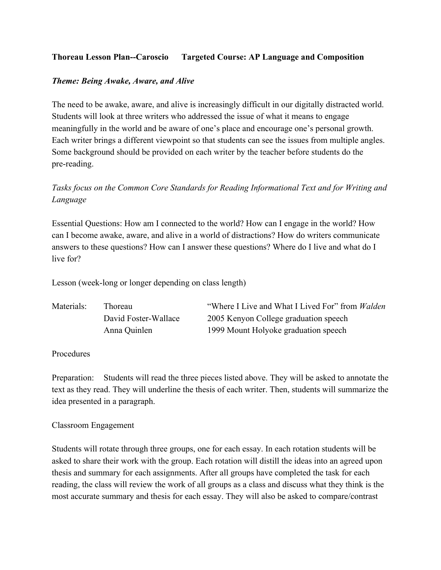## **Thoreau Lesson Plan--Caroscio Targeted Course: AP Language and Composition**

## *Theme: Being Awake, Aware, and Alive*

The need to be awake, aware, and alive is increasingly difficult in our digitally distracted world. Students will look at three writers who addressed the issue of what it means to engage meaningfully in the world and be aware of one's place and encourage one's personal growth. Each writer brings a different viewpoint so that students can see the issues from multiple angles. Some background should be provided on each writer by the teacher before students do the pre-reading.

# *Tasks focus on the Common Core Standards for Reading Informational Text and for Writing and Language*

Essential Questions: How am I connected to the world? How can I engage in the world? How can I become awake, aware, and alive in a world of distractions? How do writers communicate answers to these questions? How can I answer these questions? Where do I live and what do I live for?

Lesson (week-long or longer depending on class length)

| Materials: | Thoreau              | "Where I Live and What I Lived For" from <i>Walden</i> |
|------------|----------------------|--------------------------------------------------------|
|            | David Foster-Wallace | 2005 Kenyon College graduation speech                  |
|            | Anna Quinlen         | 1999 Mount Holyoke graduation speech                   |

#### Procedures

Preparation: Students will read the three pieces listed above. They will be asked to annotate the text as they read. They will underline the thesis of each writer. Then, students will summarize the idea presented in a paragraph.

#### Classroom Engagement

Students will rotate through three groups, one for each essay. In each rotation students will be asked to share their work with the group. Each rotation will distill the ideas into an agreed upon thesis and summary for each assignments. After all groups have completed the task for each reading, the class will review the work of all groups as a class and discuss what they think is the most accurate summary and thesis for each essay. They will also be asked to compare/contrast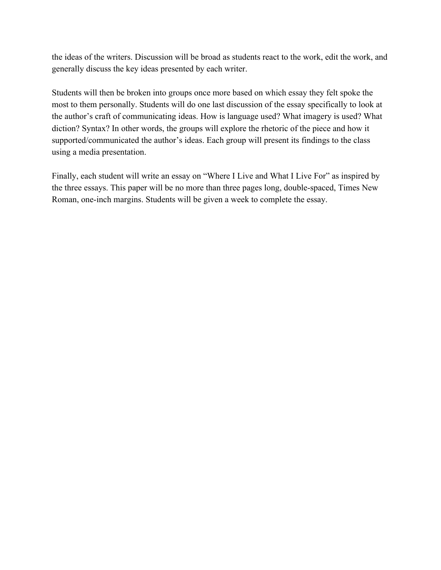the ideas of the writers. Discussion will be broad as students react to the work, edit the work, and generally discuss the key ideas presented by each writer.

Students will then be broken into groups once more based on which essay they felt spoke the most to them personally. Students will do one last discussion of the essay specifically to look at the author's craft of communicating ideas. How is language used? What imagery is used? What diction? Syntax? In other words, the groups will explore the rhetoric of the piece and how it supported/communicated the author's ideas. Each group will present its findings to the class using a media presentation.

Finally, each student will write an essay on "Where I Live and What I Live For" as inspired by the three essays. This paper will be no more than three pages long, double-spaced, Times New Roman, one-inch margins. Students will be given a week to complete the essay.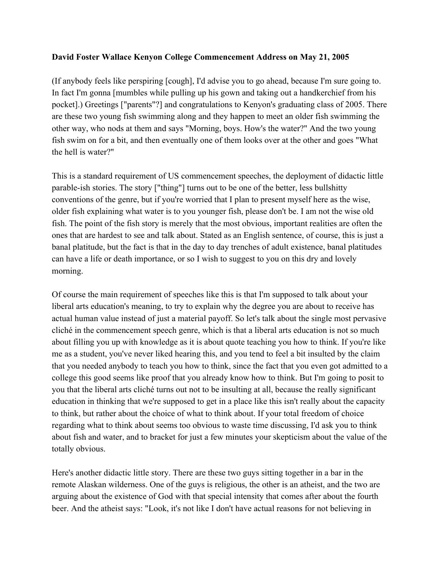## **David Foster Wallace Kenyon College Commencement Address on May 21, 2005**

(If anybody feels like perspiring [cough], I'd advise you to go ahead, because I'm sure going to. In fact I'm gonna [mumbles while pulling up his gown and taking out a handkerchief from his pocket].) Greetings ["parents"?] and congratulations to Kenyon's graduating class of 2005. There are these two young fish swimming along and they happen to meet an older fish swimming the other way, who nods at them and says "Morning, boys. How's the water?" And the two young fish swim on for a bit, and then eventually one of them looks over at the other and goes "What the hell is water?"

This is a standard requirement of US commencement speeches, the deployment of didactic little parable-ish stories. The story ["thing"] turns out to be one of the better, less bullshitty conventions of the genre, but if you're worried that I plan to present myself here as the wise, older fish explaining what water is to you younger fish, please don't be. I am not the wise old fish. The point of the fish story is merely that the most obvious, important realities are often the ones that are hardest to see and talk about. Stated as an English sentence, of course, this is just a banal platitude, but the fact is that in the day to day trenches of adult existence, banal platitudes can have a life or death importance, or so I wish to suggest to you on this dry and lovely morning.

Of course the main requirement of speeches like this is that I'm supposed to talk about your liberal arts education's meaning, to try to explain why the degree you are about to receive has actual human value instead of just a material payoff. So let's talk about the single most pervasive cliché in the commencement speech genre, which is that a liberal arts education is not so much about filling you up with knowledge as it is about quote teaching you how to think. If you're like me as a student, you've never liked hearing this, and you tend to feel a bit insulted by the claim that you needed anybody to teach you how to think, since the fact that you even got admitted to a college this good seems like proof that you already know how to think. But I'm going to posit to you that the liberal arts cliché turns out not to be insulting at all, because the really significant education in thinking that we're supposed to get in a place like this isn't really about the capacity to think, but rather about the choice of what to think about. If your total freedom of choice regarding what to think about seems too obvious to waste time discussing, I'd ask you to think about fish and water, and to bracket for just a few minutes your skepticism about the value of the totally obvious.

Here's another didactic little story. There are these two guys sitting together in a bar in the remote Alaskan wilderness. One of the guys is religious, the other is an atheist, and the two are arguing about the existence of God with that special intensity that comes after about the fourth beer. And the atheist says: "Look, it's not like I don't have actual reasons for not believing in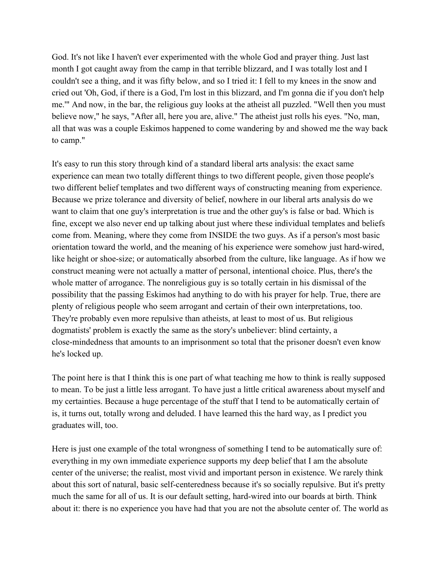God. It's not like I haven't ever experimented with the whole God and prayer thing. Just last month I got caught away from the camp in that terrible blizzard, and I was totally lost and I couldn't see a thing, and it was fifty below, and so I tried it: I fell to my knees in the snow and cried out 'Oh, God, if there is a God, I'm lost in this blizzard, and I'm gonna die if you don't help me.'" And now, in the bar, the religious guy looks at the atheist all puzzled. "Well then you must believe now," he says, "After all, here you are, alive." The atheist just rolls his eyes. "No, man, all that was was a couple Eskimos happened to come wandering by and showed me the way back to camp."

It's easy to run this story through kind of a standard liberal arts analysis: the exact same experience can mean two totally different things to two different people, given those people's two different belief templates and two different ways of constructing meaning from experience. Because we prize tolerance and diversity of belief, nowhere in our liberal arts analysis do we want to claim that one guy's interpretation is true and the other guy's is false or bad. Which is fine, except we also never end up talking about just where these individual templates and beliefs come from. Meaning, where they come from INSIDE the two guys. As if a person's most basic orientation toward the world, and the meaning of his experience were somehow just hard-wired, like height or shoe-size; or automatically absorbed from the culture, like language. As if how we construct meaning were not actually a matter of personal, intentional choice. Plus, there's the whole matter of arrogance. The nonreligious guy is so totally certain in his dismissal of the possibility that the passing Eskimos had anything to do with his prayer for help. True, there are plenty of religious people who seem arrogant and certain of their own interpretations, too. They're probably even more repulsive than atheists, at least to most of us. But religious dogmatists' problem is exactly the same as the story's unbeliever: blind certainty, a close-mindedness that amounts to an imprisonment so total that the prisoner doesn't even know he's locked up.

The point here is that I think this is one part of what teaching me how to think is really supposed to mean. To be just a little less arrogant. To have just a little critical awareness about myself and my certainties. Because a huge percentage of the stuff that I tend to be automatically certain of is, it turns out, totally wrong and deluded. I have learned this the hard way, as I predict you graduates will, too.

Here is just one example of the total wrongness of something I tend to be automatically sure of: everything in my own immediate experience supports my deep belief that I am the absolute center of the universe; the realist, most vivid and important person in existence. We rarely think about this sort of natural, basic self-centeredness because it's so socially repulsive. But it's pretty much the same for all of us. It is our default setting, hard-wired into our boards at birth. Think about it: there is no experience you have had that you are not the absolute center of. The world as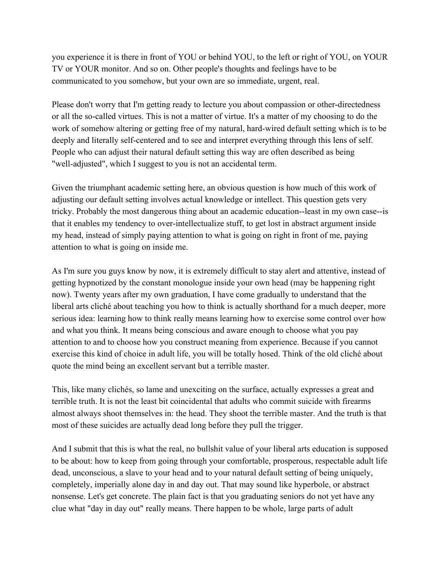you experience it is there in front of YOU or behind YOU, to the left or right of YOU, on YOUR TV or YOUR monitor. And so on. Other people's thoughts and feelings have to be communicated to you somehow, but your own are so immediate, urgent, real.

Please don't worry that I'm getting ready to lecture you about compassion or other-directedness or all the so-called virtues. This is not a matter of virtue. It's a matter of my choosing to do the work of somehow altering or getting free of my natural, hard-wired default setting which is to be deeply and literally self-centered and to see and interpret everything through this lens of self. People who can adjust their natural default setting this way are often described as being "well-adjusted", which I suggest to you is not an accidental term.

Given the triumphant academic setting here, an obvious question is how much of this work of adjusting our default setting involves actual knowledge or intellect. This question gets very tricky. Probably the most dangerous thing about an academic education--least in my own case--is that it enables my tendency to over-intellectualize stuff, to get lost in abstract argument inside my head, instead of simply paying attention to what is going on right in front of me, paying attention to what is going on inside me.

As I'm sure you guys know by now, it is extremely difficult to stay alert and attentive, instead of getting hypnotized by the constant monologue inside your own head (may be happening right now). Twenty years after my own graduation, I have come gradually to understand that the liberal arts cliché about teaching you how to think is actually shorthand for a much deeper, more serious idea: learning how to think really means learning how to exercise some control over how and what you think. It means being conscious and aware enough to choose what you pay attention to and to choose how you construct meaning from experience. Because if you cannot exercise this kind of choice in adult life, you will be totally hosed. Think of the old cliché about quote the mind being an excellent servant but a terrible master.

This, like many clichés, so lame and unexciting on the surface, actually expresses a great and terrible truth. It is not the least bit coincidental that adults who commit suicide with firearms almost always shoot themselves in: the head. They shoot the terrible master. And the truth is that most of these suicides are actually dead long before they pull the trigger.

And I submit that this is what the real, no bullshit value of your liberal arts education is supposed to be about: how to keep from going through your comfortable, prosperous, respectable adult life dead, unconscious, a slave to your head and to your natural default setting of being uniquely, completely, imperially alone day in and day out. That may sound like hyperbole, or abstract nonsense. Let's get concrete. The plain fact is that you graduating seniors do not yet have any clue what "day in day out" really means. There happen to be whole, large parts of adult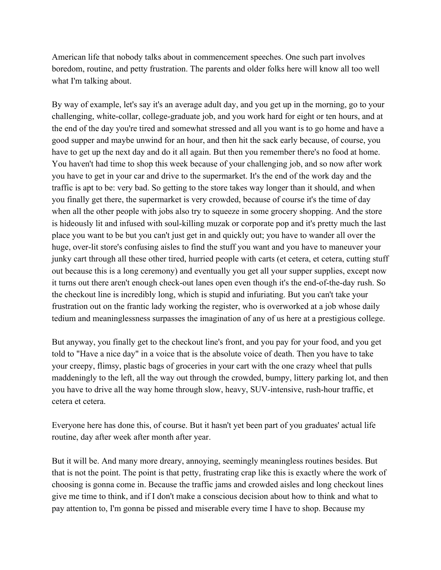American life that nobody talks about in commencement speeches. One such part involves boredom, routine, and petty frustration. The parents and older folks here will know all too well what I'm talking about.

By way of example, let's say it's an average adult day, and you get up in the morning, go to your challenging, white-collar, college-graduate job, and you work hard for eight or ten hours, and at the end of the day you're tired and somewhat stressed and all you want is to go home and have a good supper and maybe unwind for an hour, and then hit the sack early because, of course, you have to get up the next day and do it all again. But then you remember there's no food at home. You haven't had time to shop this week because of your challenging job, and so now after work you have to get in your car and drive to the supermarket. It's the end of the work day and the traffic is apt to be: very bad. So getting to the store takes way longer than it should, and when you finally get there, the supermarket is very crowded, because of course it's the time of day when all the other people with jobs also try to squeeze in some grocery shopping. And the store is hideously lit and infused with soul-killing muzak or corporate pop and it's pretty much the last place you want to be but you can't just get in and quickly out; you have to wander all over the huge, over-lit store's confusing aisles to find the stuff you want and you have to maneuver your junky cart through all these other tired, hurried people with carts (et cetera, et cetera, cutting stuff out because this is a long ceremony) and eventually you get all your supper supplies, except now it turns out there aren't enough check-out lanes open even though it's the end-of-the-day rush. So the checkout line is incredibly long, which is stupid and infuriating. But you can't take your frustration out on the frantic lady working the register, who is overworked at a job whose daily tedium and meaninglessness surpasses the imagination of any of us here at a prestigious college.

But anyway, you finally get to the checkout line's front, and you pay for your food, and you get told to "Have a nice day" in a voice that is the absolute voice of death. Then you have to take your creepy, flimsy, plastic bags of groceries in your cart with the one crazy wheel that pulls maddeningly to the left, all the way out through the crowded, bumpy, littery parking lot, and then you have to drive all the way home through slow, heavy, SUV-intensive, rush-hour traffic, et cetera et cetera.

Everyone here has done this, of course. But it hasn't yet been part of you graduates' actual life routine, day after week after month after year.

But it will be. And many more dreary, annoying, seemingly meaningless routines besides. But that is not the point. The point is that petty, frustrating crap like this is exactly where the work of choosing is gonna come in. Because the traffic jams and crowded aisles and long checkout lines give me time to think, and if I don't make a conscious decision about how to think and what to pay attention to, I'm gonna be pissed and miserable every time I have to shop. Because my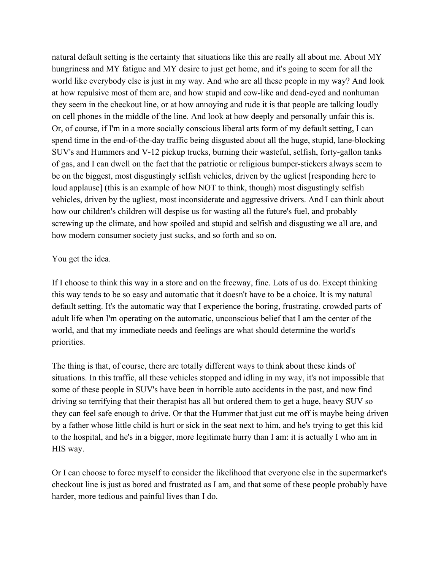natural default setting is the certainty that situations like this are really all about me. About MY hungriness and MY fatigue and MY desire to just get home, and it's going to seem for all the world like everybody else is just in my way. And who are all these people in my way? And look at how repulsive most of them are, and how stupid and cow-like and dead-eyed and nonhuman they seem in the checkout line, or at how annoying and rude it is that people are talking loudly on cell phones in the middle of the line. And look at how deeply and personally unfair this is. Or, of course, if I'm in a more socially conscious liberal arts form of my default setting, I can spend time in the end-of-the-day traffic being disgusted about all the huge, stupid, lane-blocking SUV's and Hummers and V-12 pickup trucks, burning their wasteful, selfish, forty-gallon tanks of gas, and I can dwell on the fact that the patriotic or religious bumper-stickers always seem to be on the biggest, most disgustingly selfish vehicles, driven by the ugliest [responding here to loud applause] (this is an example of how NOT to think, though) most disgustingly selfish vehicles, driven by the ugliest, most inconsiderate and aggressive drivers. And I can think about how our children's children will despise us for wasting all the future's fuel, and probably screwing up the climate, and how spoiled and stupid and selfish and disgusting we all are, and how modern consumer society just sucks, and so forth and so on.

#### You get the idea.

If I choose to think this way in a store and on the freeway, fine. Lots of us do. Except thinking this way tends to be so easy and automatic that it doesn't have to be a choice. It is my natural default setting. It's the automatic way that I experience the boring, frustrating, crowded parts of adult life when I'm operating on the automatic, unconscious belief that I am the center of the world, and that my immediate needs and feelings are what should determine the world's priorities.

The thing is that, of course, there are totally different ways to think about these kinds of situations. In this traffic, all these vehicles stopped and idling in my way, it's not impossible that some of these people in SUV's have been in horrible auto accidents in the past, and now find driving so terrifying that their therapist has all but ordered them to get a huge, heavy SUV so they can feel safe enough to drive. Or that the Hummer that just cut me off is maybe being driven by a father whose little child is hurt or sick in the seat next to him, and he's trying to get this kid to the hospital, and he's in a bigger, more legitimate hurry than I am: it is actually I who am in HIS way.

Or I can choose to force myself to consider the likelihood that everyone else in the supermarket's checkout line is just as bored and frustrated as I am, and that some of these people probably have harder, more tedious and painful lives than I do.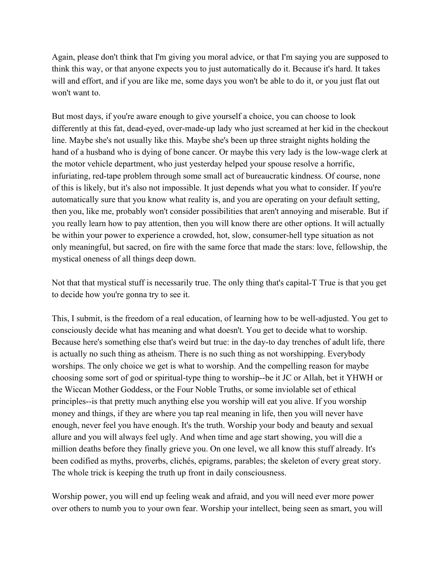Again, please don't think that I'm giving you moral advice, or that I'm saying you are supposed to think this way, or that anyone expects you to just automatically do it. Because it's hard. It takes will and effort, and if you are like me, some days you won't be able to do it, or you just flat out won't want to.

But most days, if you're aware enough to give yourself a choice, you can choose to look differently at this fat, dead-eyed, over-made-up lady who just screamed at her kid in the checkout line. Maybe she's not usually like this. Maybe she's been up three straight nights holding the hand of a husband who is dying of bone cancer. Or maybe this very lady is the low-wage clerk at the motor vehicle department, who just yesterday helped your spouse resolve a horrific, infuriating, red-tape problem through some small act of bureaucratic kindness. Of course, none of this is likely, but it's also not impossible. It just depends what you what to consider. If you're automatically sure that you know what reality is, and you are operating on your default setting, then you, like me, probably won't consider possibilities that aren't annoying and miserable. But if you really learn how to pay attention, then you will know there are other options. It will actually be within your power to experience a crowded, hot, slow, consumer-hell type situation as not only meaningful, but sacred, on fire with the same force that made the stars: love, fellowship, the mystical oneness of all things deep down.

Not that that mystical stuff is necessarily true. The only thing that's capital-T True is that you get to decide how you're gonna try to see it.

This, I submit, is the freedom of a real education, of learning how to be well-adjusted. You get to consciously decide what has meaning and what doesn't. You get to decide what to worship. Because here's something else that's weird but true: in the day-to day trenches of adult life, there is actually no such thing as atheism. There is no such thing as not worshipping. Everybody worships. The only choice we get is what to worship. And the compelling reason for maybe choosing some sort of god or spiritual-type thing to worship--be it JC or Allah, bet it YHWH or the Wiccan Mother Goddess, or the Four Noble Truths, or some inviolable set of ethical principles--is that pretty much anything else you worship will eat you alive. If you worship money and things, if they are where you tap real meaning in life, then you will never have enough, never feel you have enough. It's the truth. Worship your body and beauty and sexual allure and you will always feel ugly. And when time and age start showing, you will die a million deaths before they finally grieve you. On one level, we all know this stuff already. It's been codified as myths, proverbs, clichés, epigrams, parables; the skeleton of every great story. The whole trick is keeping the truth up front in daily consciousness.

Worship power, you will end up feeling weak and afraid, and you will need ever more power over others to numb you to your own fear. Worship your intellect, being seen as smart, you will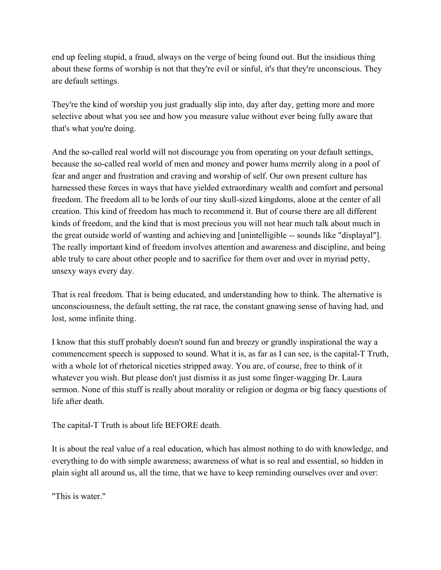end up feeling stupid, a fraud, always on the verge of being found out. But the insidious thing about these forms of worship is not that they're evil or sinful, it's that they're unconscious. They are default settings.

They're the kind of worship you just gradually slip into, day after day, getting more and more selective about what you see and how you measure value without ever being fully aware that that's what you're doing.

And the so-called real world will not discourage you from operating on your default settings, because the so-called real world of men and money and power hums merrily along in a pool of fear and anger and frustration and craving and worship of self. Our own present culture has harnessed these forces in ways that have yielded extraordinary wealth and comfort and personal freedom. The freedom all to be lords of our tiny skull-sized kingdoms, alone at the center of all creation. This kind of freedom has much to recommend it. But of course there are all different kinds of freedom, and the kind that is most precious you will not hear much talk about much in the great outside world of wanting and achieving and [unintelligible -- sounds like "displayal"]. The really important kind of freedom involves attention and awareness and discipline, and being able truly to care about other people and to sacrifice for them over and over in myriad petty, unsexy ways every day.

That is real freedom. That is being educated, and understanding how to think. The alternative is unconsciousness, the default setting, the rat race, the constant gnawing sense of having had, and lost, some infinite thing.

I know that this stuff probably doesn't sound fun and breezy or grandly inspirational the way a commencement speech is supposed to sound. What it is, as far as I can see, is the capital-T Truth, with a whole lot of rhetorical niceties stripped away. You are, of course, free to think of it whatever you wish. But please don't just dismiss it as just some finger-wagging Dr. Laura sermon. None of this stuff is really about morality or religion or dogma or big fancy questions of life after death.

The capital-T Truth is about life BEFORE death.

It is about the real value of a real education, which has almost nothing to do with knowledge, and everything to do with simple awareness; awareness of what is so real and essential, so hidden in plain sight all around us, all the time, that we have to keep reminding ourselves over and over:

"This is water."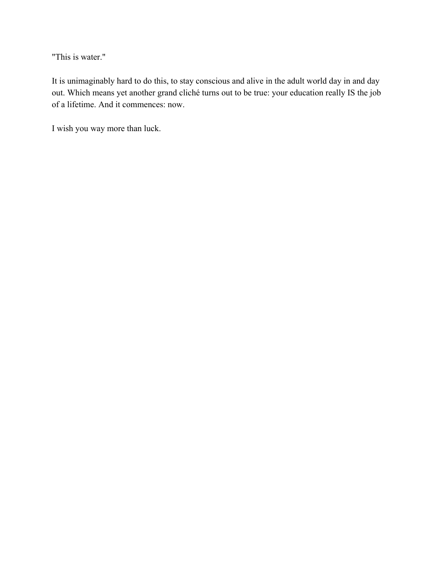"This is water."

It is unimaginably hard to do this, to stay conscious and alive in the adult world day in and day out. Which means yet another grand cliché turns out to be true: your education really IS the job of a lifetime. And it commences: now.

I wish you way more than luck.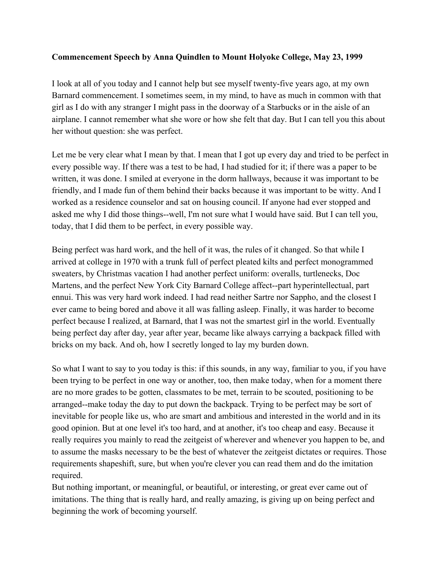## **Commencement Speech by Anna Quindlen to Mount Holyoke College, May 23, 1999**

I look at all of you today and I cannot help but see myself twenty-five years ago, at my own Barnard commencement. I sometimes seem, in my mind, to have as much in common with that girl as I do with any stranger I might pass in the doorway of a Starbucks or in the aisle of an airplane. I cannot remember what she wore or how she felt that day. But I can tell you this about her without question: she was perfect.

Let me be very clear what I mean by that. I mean that I got up every day and tried to be perfect in every possible way. If there was a test to be had, I had studied for it; if there was a paper to be written, it was done. I smiled at everyone in the dorm hallways, because it was important to be friendly, and I made fun of them behind their backs because it was important to be witty. And I worked as a residence counselor and sat on housing council. If anyone had ever stopped and asked me why I did those things--well, I'm not sure what I would have said. But I can tell you, today, that I did them to be perfect, in every possible way.

Being perfect was hard work, and the hell of it was, the rules of it changed. So that while I arrived at college in 1970 with a trunk full of perfect pleated kilts and perfect monogrammed sweaters, by Christmas vacation I had another perfect uniform: overalls, turtlenecks, Doc Martens, and the perfect New York City Barnard College affect--part hyperintellectual, part ennui. This was very hard work indeed. I had read neither Sartre nor Sappho, and the closest I ever came to being bored and above it all was falling asleep. Finally, it was harder to become perfect because I realized, at Barnard, that I was not the smartest girl in the world. Eventually being perfect day after day, year after year, became like always carrying a backpack filled with bricks on my back. And oh, how I secretly longed to lay my burden down.

So what I want to say to you today is this: if this sounds, in any way, familiar to you, if you have been trying to be perfect in one way or another, too, then make today, when for a moment there are no more grades to be gotten, classmates to be met, terrain to be scouted, positioning to be arranged--make today the day to put down the backpack. Trying to be perfect may be sort of inevitable for people like us, who are smart and ambitious and interested in the world and in its good opinion. But at one level it's too hard, and at another, it's too cheap and easy. Because it really requires you mainly to read the zeitgeist of wherever and whenever you happen to be, and to assume the masks necessary to be the best of whatever the zeitgeist dictates or requires. Those requirements shapeshift, sure, but when you're clever you can read them and do the imitation required.

But nothing important, or meaningful, or beautiful, or interesting, or great ever came out of imitations. The thing that is really hard, and really amazing, is giving up on being perfect and beginning the work of becoming yourself.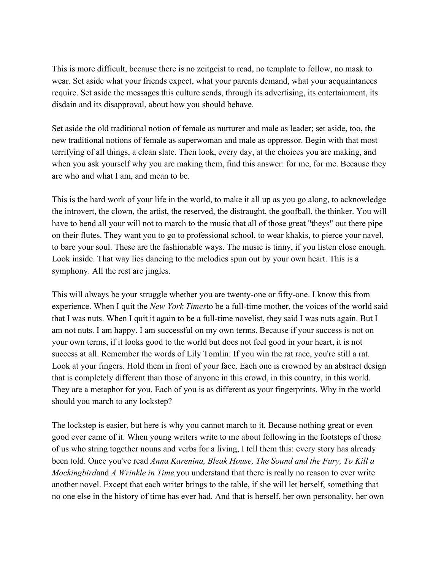This is more difficult, because there is no zeitgeist to read, no template to follow, no mask to wear. Set aside what your friends expect, what your parents demand, what your acquaintances require. Set aside the messages this culture sends, through its advertising, its entertainment, its disdain and its disapproval, about how you should behave.

Set aside the old traditional notion of female as nurturer and male as leader; set aside, too, the new traditional notions of female as superwoman and male as oppressor. Begin with that most terrifying of all things, a clean slate. Then look, every day, at the choices you are making, and when you ask yourself why you are making them, find this answer: for me, for me. Because they are who and what I am, and mean to be.

This is the hard work of your life in the world, to make it all up as you go along, to acknowledge the introvert, the clown, the artist, the reserved, the distraught, the goofball, the thinker. You will have to bend all your will not to march to the music that all of those great "theys" out there pipe on their flutes. They want you to go to professional school, to wear khakis, to pierce your navel, to bare your soul. These are the fashionable ways. The music is tinny, if you listen close enough. Look inside. That way lies dancing to the melodies spun out by your own heart. This is a symphony. All the rest are jingles.

This will always be your struggle whether you are twenty-one or fifty-one. I know this from experience. When I quit the *New York Times*to be a full-time mother, the voices of the world said that I was nuts. When I quit it again to be a full-time novelist, they said I was nuts again. But I am not nuts. I am happy. I am successful on my own terms. Because if your success is not on your own terms, if it looks good to the world but does not feel good in your heart, it is not success at all. Remember the words of Lily Tomlin: If you win the rat race, you're still a rat. Look at your fingers. Hold them in front of your face. Each one is crowned by an abstract design that is completely different than those of anyone in this crowd, in this country, in this world. They are a metaphor for you. Each of you is as different as your fingerprints. Why in the world should you march to any lockstep?

The lockstep is easier, but here is why you cannot march to it. Because nothing great or even good ever came of it. When young writers write to me about following in the footsteps of those of us who string together nouns and verbs for a living, I tell them this: every story has already been told. Once you've read *Anna Karenina, Bleak House, The Sound and the Fury, To Kill a Mockingbird*and *A Wrinkle in Time,*you understand that there is really no reason to ever write another novel. Except that each writer brings to the table, if she will let herself, something that no one else in the history of time has ever had. And that is herself, her own personality, her own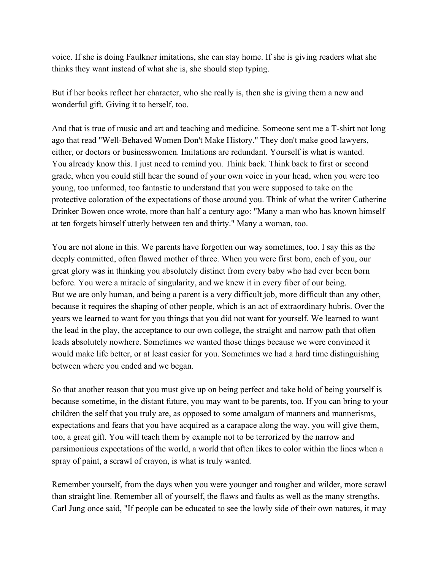voice. If she is doing Faulkner imitations, she can stay home. If she is giving readers what she thinks they want instead of what she is, she should stop typing.

But if her books reflect her character, who she really is, then she is giving them a new and wonderful gift. Giving it to herself, too.

And that is true of music and art and teaching and medicine. Someone sent me a T-shirt not long ago that read "Well-Behaved Women Don't Make History." They don't make good lawyers, either, or doctors or businesswomen. Imitations are redundant. Yourself is what is wanted. You already know this. I just need to remind you. Think back. Think back to first or second grade, when you could still hear the sound of your own voice in your head, when you were too young, too unformed, too fantastic to understand that you were supposed to take on the protective coloration of the expectations of those around you. Think of what the writer Catherine Drinker Bowen once wrote, more than half a century ago: "Many a man who has known himself at ten forgets himself utterly between ten and thirty." Many a woman, too.

You are not alone in this. We parents have forgotten our way sometimes, too. I say this as the deeply committed, often flawed mother of three. When you were first born, each of you, our great glory was in thinking you absolutely distinct from every baby who had ever been born before. You were a miracle of singularity, and we knew it in every fiber of our being. But we are only human, and being a parent is a very difficult job, more difficult than any other, because it requires the shaping of other people, which is an act of extraordinary hubris. Over the years we learned to want for you things that you did not want for yourself. We learned to want the lead in the play, the acceptance to our own college, the straight and narrow path that often leads absolutely nowhere. Sometimes we wanted those things because we were convinced it would make life better, or at least easier for you. Sometimes we had a hard time distinguishing between where you ended and we began.

So that another reason that you must give up on being perfect and take hold of being yourself is because sometime, in the distant future, you may want to be parents, too. If you can bring to your children the self that you truly are, as opposed to some amalgam of manners and mannerisms, expectations and fears that you have acquired as a carapace along the way, you will give them, too, a great gift. You will teach them by example not to be terrorized by the narrow and parsimonious expectations of the world, a world that often likes to color within the lines when a spray of paint, a scrawl of crayon, is what is truly wanted.

Remember yourself, from the days when you were younger and rougher and wilder, more scrawl than straight line. Remember all of yourself, the flaws and faults as well as the many strengths. Carl Jung once said, "If people can be educated to see the lowly side of their own natures, it may